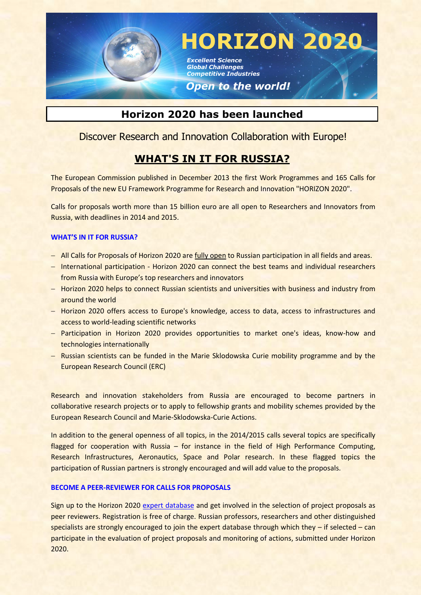

**HORIZON 2020**

*Excellent Science Global Challenges Competitive Industries* 

## *Open to the world!*

# **Horizon 2020 has been launched**

## Discover Research and Innovation Collaboration with Europe!

# **WHAT'S IN IT FOR RUSSIA?**

The European Commission published in December 2013 the first Work Programmes and 165 Calls for Proposals of the new EU Framework Programme for Research and Innovation "HORIZON 2020".

Calls for proposals worth more than 15 billion euro are all open to Researchers and Innovators from Russia, with deadlines in 2014 and 2015.

## **WHAT'S IN IT FOR RUSSIA?**

- All Calls for Proposals of Horizon 2020 are fully open to Russian participation in all fields and areas.
- International participation Horizon 2020 can connect the best teams and individual researchers from Russia with Europe's top researchers and innovators
- Horizon 2020 helps to connect Russian scientists and universities with business and industry from around the world
- Horizon 2020 offers access to Europe's knowledge, access to data, access to infrastructures and access to world-leading scientific networks
- Participation in Horizon 2020 provides opportunities to market one's ideas, know-how and technologies internationally
- Russian scientists can be funded in the Marie Sklodowska Curie mobility programme and by the European Research Council (ERC)

Research and innovation stakeholders from Russia are encouraged to become partners in collaborative research projects or to apply to fellowship grants and mobility schemes provided by the European Research Council and Marie-Sklodowska-Curie Actions.

In addition to the general openness of all topics, in the 2014/2015 calls several topics are specifically flagged for cooperation with Russia – for instance in the field of High Performance Computing, Research Infrastructures, Aeronautics, Space and Polar research. In these flagged topics the participation of Russian partners is strongly encouraged and will add value to the proposals.

## **BECOME A PEER-REVIEWER FOR CALLS FOR PROPOSALS**

Sign up to the Horizon 2020 [expert database](http://ec.europa.eu/research/participants/portal/desktop/en/experts/index.html) and get involved in the selection of project proposals as peer reviewers. Registration is free of charge. Russian professors, researchers and other distinguished specialists are strongly encouraged to join the expert database through which they – if selected – can participate in the evaluation of project proposals and monitoring of actions, submitted under Horizon 2020.